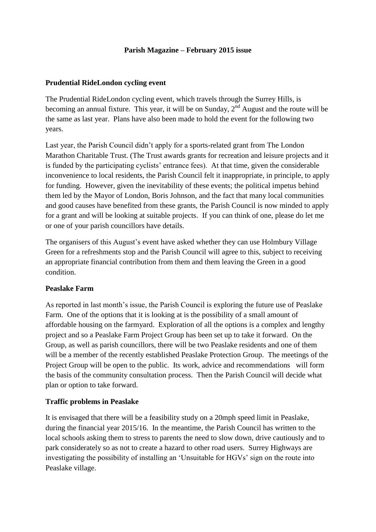### **Parish Magazine – February 2015 issue**

### **Prudential RideLondon cycling event**

The Prudential RideLondon cycling event, which travels through the Surrey Hills, is becoming an annual fixture. This year, it will be on Sunday,  $2<sup>nd</sup>$  August and the route will be the same as last year. Plans have also been made to hold the event for the following two years.

Last year, the Parish Council didn't apply for a sports-related grant from The London Marathon Charitable Trust. (The Trust awards grants for recreation and leisure projects and it is funded by the participating cyclists' entrance fees). At that time, given the considerable inconvenience to local residents, the Parish Council felt it inappropriate, in principle, to apply for funding. However, given the inevitability of these events; the political impetus behind them led by the Mayor of London, Boris Johnson, and the fact that many local communities and good causes have benefited from these grants, the Parish Council is now minded to apply for a grant and will be looking at suitable projects. If you can think of one, please do let me or one of your parish councillors have details.

The organisers of this August's event have asked whether they can use Holmbury Village Green for a refreshments stop and the Parish Council will agree to this, subject to receiving an appropriate financial contribution from them and them leaving the Green in a good condition.

## **Peaslake Farm**

As reported in last month's issue, the Parish Council is exploring the future use of Peaslake Farm. One of the options that it is looking at is the possibility of a small amount of affordable housing on the farmyard. Exploration of all the options is a complex and lengthy project and so a Peaslake Farm Project Group has been set up to take it forward. On the Group, as well as parish councillors, there will be two Peaslake residents and one of them will be a member of the recently established Peaslake Protection Group. The meetings of the Project Group will be open to the public. Its work, advice and recommendations will form the basis of the community consultation process. Then the Parish Council will decide what plan or option to take forward.

#### **Traffic problems in Peaslake**

It is envisaged that there will be a feasibility study on a 20mph speed limit in Peaslake, during the financial year 2015/16. In the meantime, the Parish Council has written to the local schools asking them to stress to parents the need to slow down, drive cautiously and to park considerately so as not to create a hazard to other road users. Surrey Highways are investigating the possibility of installing an 'Unsuitable for HGVs' sign on the route into Peaslake village.